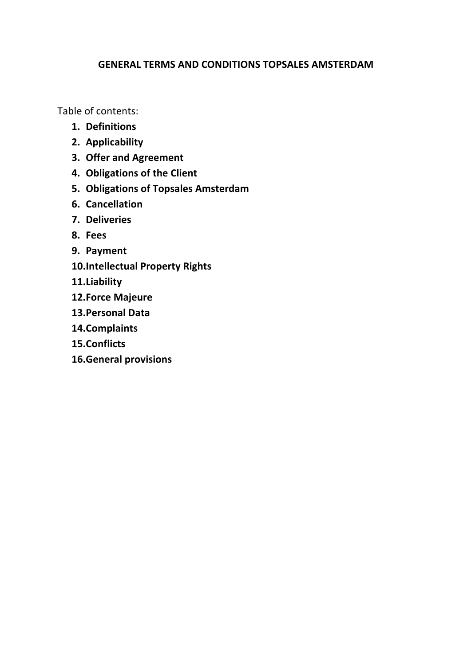# **GENERAL TERMS AND CONDITIONS TOPSALES AMSTERDAM**

Table of contents:

- **1. Definitions**
- **2. Applicability**
- **3. Offer and Agreement**
- **4. Obligations of the Client**
- **5. Obligations of Topsales Amsterdam**
- **6. Cancellation**
- **7. Deliveries**
- **8. Fees**
- **9. Payment**
- **10.Intellectual Property Rights**
- **11.Liability**
- **12.Force Majeure**
- **13.Personal Data**
- **14.Complaints**
- **15.Conflicts**
- **16.General provisions**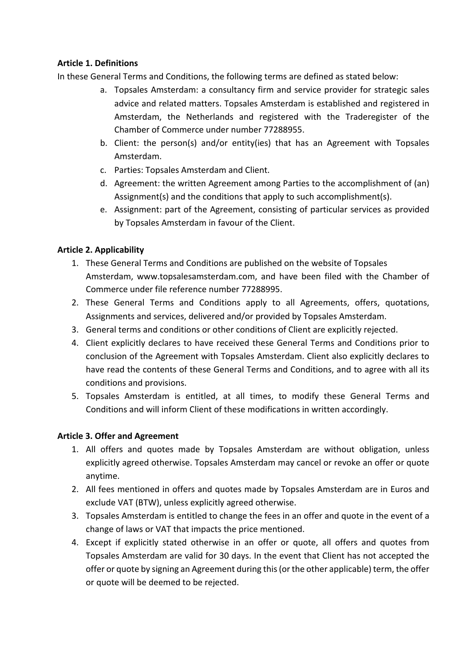### **Article 1. Definitions**

In these General Terms and Conditions, the following terms are defined as stated below:

- a. Topsales Amsterdam: a consultancy firm and service provider for strategic sales advice and related matters. Topsales Amsterdam is established and registered in Amsterdam, the Netherlands and registered with the Traderegister of the Chamber of Commerce under number 77288955.
- b. Client: the person(s) and/or entity(ies) that has an Agreement with Topsales Amsterdam.
- c. Parties: Topsales Amsterdam and Client.
- d. Agreement: the written Agreement among Parties to the accomplishment of (an) Assignment(s) and the conditions that apply to such accomplishment(s).
- e. Assignment: part of the Agreement, consisting of particular services as provided by Topsales Amsterdam in favour of the Client.

## **Article 2. Applicability**

- 1. These General Terms and Conditions are published on the website of Topsales Amsterdam, www.topsalesamsterdam.com, and have been filed with the Chamber of Commerce under file reference number 77288995.
- 2. These General Terms and Conditions apply to all Agreements, offers, quotations, Assignments and services, delivered and/or provided by Topsales Amsterdam.
- 3. General terms and conditions or other conditions of Client are explicitly rejected.
- 4. Client explicitly declares to have received these General Terms and Conditions prior to conclusion of the Agreement with Topsales Amsterdam. Client also explicitly declares to have read the contents of these General Terms and Conditions, and to agree with all its conditions and provisions.
- 5. Topsales Amsterdam is entitled, at all times, to modify these General Terms and Conditions and will inform Client of these modifications in written accordingly.

### **Article 3. Offer and Agreement**

- 1. All offers and quotes made by Topsales Amsterdam are without obligation, unless explicitly agreed otherwise. Topsales Amsterdam may cancel or revoke an offer or quote anytime.
- 2. All fees mentioned in offers and quotes made by Topsales Amsterdam are in Euros and exclude VAT (BTW), unless explicitly agreed otherwise.
- 3. Topsales Amsterdam is entitled to change the fees in an offer and quote in the event of a change of laws or VAT that impacts the price mentioned.
- 4. Except if explicitly stated otherwise in an offer or quote, all offers and quotes from Topsales Amsterdam are valid for 30 days. In the event that Client has not accepted the offer or quote by signing an Agreement during this (or the other applicable) term, the offer or quote will be deemed to be rejected.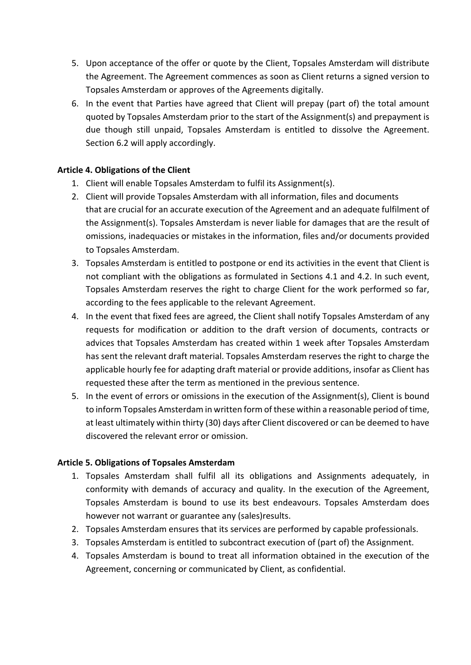- 5. Upon acceptance of the offer or quote by the Client, Topsales Amsterdam will distribute the Agreement. The Agreement commences as soon as Client returns a signed version to Topsales Amsterdam or approves of the Agreements digitally.
- 6. In the event that Parties have agreed that Client will prepay (part of) the total amount quoted by Topsales Amsterdam prior to the start of the Assignment(s) and prepayment is due though still unpaid, Topsales Amsterdam is entitled to dissolve the Agreement. Section 6.2 will apply accordingly.

### **Article 4. Obligations of the Client**

- 1. Client will enable Topsales Amsterdam to fulfil its Assignment(s).
- 2. Client will provide Topsales Amsterdam with all information, files and documents that are crucial for an accurate execution of the Agreement and an adequate fulfilment of the Assignment(s). Topsales Amsterdam is never liable for damages that are the result of omissions, inadequacies or mistakes in the information, files and/or documents provided to Topsales Amsterdam.
- 3. Topsales Amsterdam is entitled to postpone or end its activities in the event that Client is not compliant with the obligations as formulated in Sections 4.1 and 4.2. In such event, Topsales Amsterdam reserves the right to charge Client for the work performed so far, according to the fees applicable to the relevant Agreement.
- 4. In the event that fixed fees are agreed, the Client shall notify Topsales Amsterdam of any requests for modification or addition to the draft version of documents, contracts or advices that Topsales Amsterdam has created within 1 week after Topsales Amsterdam has sent the relevant draft material. Topsales Amsterdam reserves the right to charge the applicable hourly fee for adapting draft material or provide additions, insofar as Client has requested these after the term as mentioned in the previous sentence.
- 5. In the event of errors or omissions in the execution of the Assignment(s), Client is bound to inform Topsales Amsterdam in written form of these within a reasonable period of time, at least ultimately within thirty (30) days after Client discovered or can be deemed to have discovered the relevant error or omission.

### **Article 5. Obligations of Topsales Amsterdam**

- 1. Topsales Amsterdam shall fulfil all its obligations and Assignments adequately, in conformity with demands of accuracy and quality. In the execution of the Agreement, Topsales Amsterdam is bound to use its best endeavours. Topsales Amsterdam does however not warrant or guarantee any (sales)results.
- 2. Topsales Amsterdam ensures that its services are performed by capable professionals.
- 3. Topsales Amsterdam is entitled to subcontract execution of (part of) the Assignment.
- 4. Topsales Amsterdam is bound to treat all information obtained in the execution of the Agreement, concerning or communicated by Client, as confidential.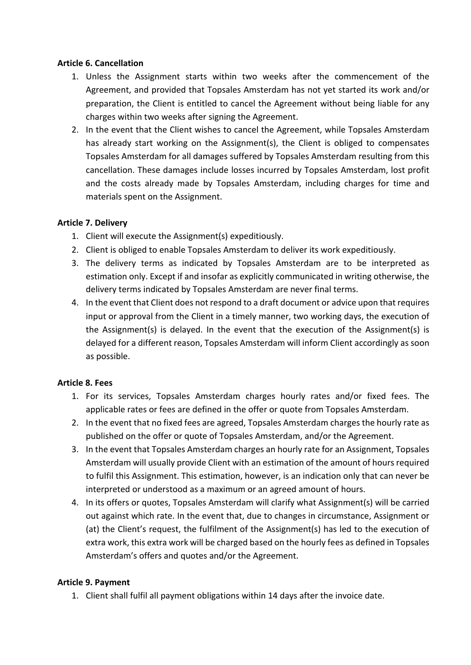#### **Article 6. Cancellation**

- 1. Unless the Assignment starts within two weeks after the commencement of the Agreement, and provided that Topsales Amsterdam has not yet started its work and/or preparation, the Client is entitled to cancel the Agreement without being liable for any charges within two weeks after signing the Agreement.
- 2. In the event that the Client wishes to cancel the Agreement, while Topsales Amsterdam has already start working on the Assignment(s), the Client is obliged to compensates Topsales Amsterdam for all damages suffered by Topsales Amsterdam resulting from this cancellation. These damages include losses incurred by Topsales Amsterdam, lost profit and the costs already made by Topsales Amsterdam, including charges for time and materials spent on the Assignment.

### **Article 7. Delivery**

- 1. Client will execute the Assignment(s) expeditiously.
- 2. Client is obliged to enable Topsales Amsterdam to deliver its work expeditiously.
- 3. The delivery terms as indicated by Topsales Amsterdam are to be interpreted as estimation only. Except if and insofar as explicitly communicated in writing otherwise, the delivery terms indicated by Topsales Amsterdam are never final terms.
- 4. In the event that Client does not respond to a draft document or advice upon that requires input or approval from the Client in a timely manner, two working days, the execution of the Assignment(s) is delayed. In the event that the execution of the Assignment(s) is delayed for a different reason, Topsales Amsterdam will inform Client accordingly as soon as possible.

### **Article 8. Fees**

- 1. For its services, Topsales Amsterdam charges hourly rates and/or fixed fees. The applicable rates or fees are defined in the offer or quote from Topsales Amsterdam.
- 2. In the event that no fixed fees are agreed, Topsales Amsterdam charges the hourly rate as published on the offer or quote of Topsales Amsterdam, and/or the Agreement.
- 3. In the event that Topsales Amsterdam charges an hourly rate for an Assignment, Topsales Amsterdam will usually provide Client with an estimation of the amount of hours required to fulfil this Assignment. This estimation, however, is an indication only that can never be interpreted or understood as a maximum or an agreed amount of hours.
- 4. In its offers or quotes, Topsales Amsterdam will clarify what Assignment(s) will be carried out against which rate. In the event that, due to changes in circumstance, Assignment or (at) the Client's request, the fulfilment of the Assignment(s) has led to the execution of extra work, this extra work will be charged based on the hourly fees as defined in Topsales Amsterdam's offers and quotes and/or the Agreement.

#### **Article 9. Payment**

1. Client shall fulfil all payment obligations within 14 days after the invoice date.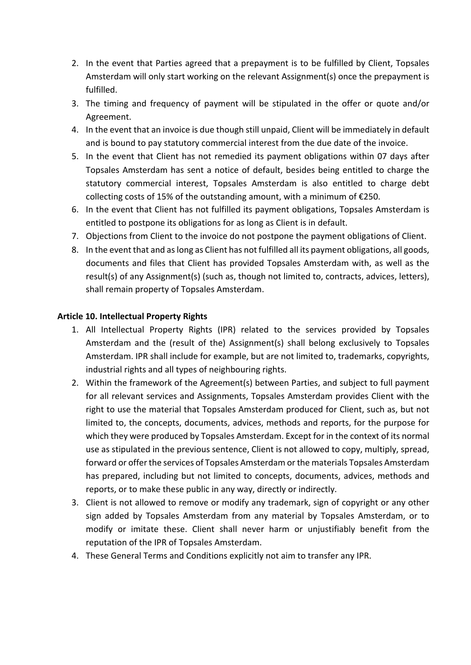- 2. In the event that Parties agreed that a prepayment is to be fulfilled by Client, Topsales Amsterdam will only start working on the relevant Assignment(s) once the prepayment is fulfilled.
- 3. The timing and frequency of payment will be stipulated in the offer or quote and/or Agreement.
- 4. In the event that an invoice is due though still unpaid, Client will be immediately in default and is bound to pay statutory commercial interest from the due date of the invoice.
- 5. In the event that Client has not remedied its payment obligations within 07 days after Topsales Amsterdam has sent a notice of default, besides being entitled to charge the statutory commercial interest, Topsales Amsterdam is also entitled to charge debt collecting costs of 15% of the outstanding amount, with a minimum of €250.
- 6. In the event that Client has not fulfilled its payment obligations, Topsales Amsterdam is entitled to postpone its obligations for as long as Client is in default.
- 7. Objections from Client to the invoice do not postpone the payment obligations of Client.
- 8. In the event that and as long as Client has not fulfilled all its payment obligations, all goods, documents and files that Client has provided Topsales Amsterdam with, as well as the result(s) of any Assignment(s) (such as, though not limited to, contracts, advices, letters), shall remain property of Topsales Amsterdam.

### **Article 10. Intellectual Property Rights**

- 1. All Intellectual Property Rights (IPR) related to the services provided by Topsales Amsterdam and the (result of the) Assignment(s) shall belong exclusively to Topsales Amsterdam. IPR shall include for example, but are not limited to, trademarks, copyrights, industrial rights and all types of neighbouring rights.
- 2. Within the framework of the Agreement(s) between Parties, and subject to full payment for all relevant services and Assignments, Topsales Amsterdam provides Client with the right to use the material that Topsales Amsterdam produced for Client, such as, but not limited to, the concepts, documents, advices, methods and reports, for the purpose for which they were produced by Topsales Amsterdam. Except for in the context of its normal use as stipulated in the previous sentence, Client is not allowed to copy, multiply, spread, forward or offer the services of Topsales Amsterdam or the materials Topsales Amsterdam has prepared, including but not limited to concepts, documents, advices, methods and reports, or to make these public in any way, directly or indirectly.
- 3. Client is not allowed to remove or modify any trademark, sign of copyright or any other sign added by Topsales Amsterdam from any material by Topsales Amsterdam, or to modify or imitate these. Client shall never harm or unjustifiably benefit from the reputation of the IPR of Topsales Amsterdam.
- 4. These General Terms and Conditions explicitly not aim to transfer any IPR.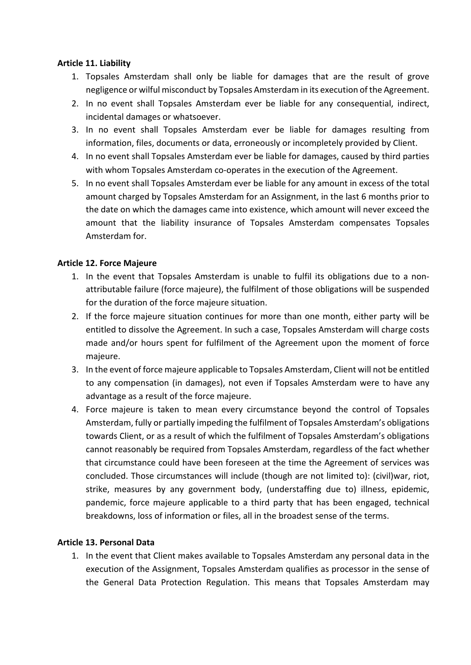### **Article 11. Liability**

- 1. Topsales Amsterdam shall only be liable for damages that are the result of grove negligence or wilful misconduct by Topsales Amsterdam in its execution of the Agreement.
- 2. In no event shall Topsales Amsterdam ever be liable for any consequential, indirect, incidental damages or whatsoever.
- 3. In no event shall Topsales Amsterdam ever be liable for damages resulting from information, files, documents or data, erroneously or incompletely provided by Client.
- 4. In no event shall Topsales Amsterdam ever be liable for damages, caused by third parties with whom Topsales Amsterdam co-operates in the execution of the Agreement.
- 5. In no event shall Topsales Amsterdam ever be liable for any amount in excess of the total amount charged by Topsales Amsterdam for an Assignment, in the last 6 months prior to the date on which the damages came into existence, which amount will never exceed the amount that the liability insurance of Topsales Amsterdam compensates Topsales Amsterdam for.

### **Article 12. Force Majeure**

- 1. In the event that Topsales Amsterdam is unable to fulfil its obligations due to a nonattributable failure (force majeure), the fulfilment of those obligations will be suspended for the duration of the force majeure situation.
- 2. If the force majeure situation continues for more than one month, either party will be entitled to dissolve the Agreement. In such a case, Topsales Amsterdam will charge costs made and/or hours spent for fulfilment of the Agreement upon the moment of force majeure.
- 3. In the event of force majeure applicable to Topsales Amsterdam, Client will not be entitled to any compensation (in damages), not even if Topsales Amsterdam were to have any advantage as a result of the force majeure.
- 4. Force majeure is taken to mean every circumstance beyond the control of Topsales Amsterdam, fully or partially impeding the fulfilment of Topsales Amsterdam's obligations towards Client, or as a result of which the fulfilment of Topsales Amsterdam's obligations cannot reasonably be required from Topsales Amsterdam, regardless of the fact whether that circumstance could have been foreseen at the time the Agreement of services was concluded. Those circumstances will include (though are not limited to): (civil)war, riot, strike, measures by any government body, (understaffing due to) illness, epidemic, pandemic, force majeure applicable to a third party that has been engaged, technical breakdowns, loss of information or files, all in the broadest sense of the terms.

### **Article 13. Personal Data**

1. In the event that Client makes available to Topsales Amsterdam any personal data in the execution of the Assignment, Topsales Amsterdam qualifies as processor in the sense of the General Data Protection Regulation. This means that Topsales Amsterdam may